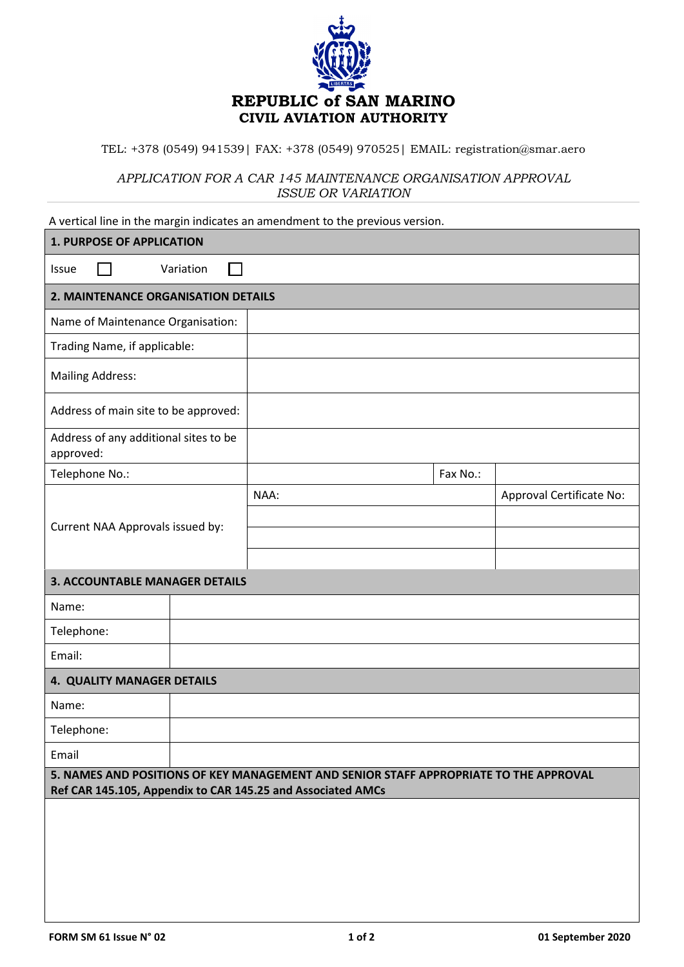

TEL: +378 (0549) 941539| FAX: +378 (0549) 970525| EMAIL: registration@smar.aero

*APPLICATION FOR A CAR 145 MAINTENANCE ORGANISATION APPROVAL ISSUE OR VARIATION*

| A vertical line in the margin indicates an amendment to the previous version.                                                                        |           |      |          |                          |
|------------------------------------------------------------------------------------------------------------------------------------------------------|-----------|------|----------|--------------------------|
| <b>1. PURPOSE OF APPLICATION</b>                                                                                                                     |           |      |          |                          |
| Issue                                                                                                                                                | Variation |      |          |                          |
| 2. MAINTENANCE ORGANISATION DETAILS                                                                                                                  |           |      |          |                          |
| Name of Maintenance Organisation:                                                                                                                    |           |      |          |                          |
| Trading Name, if applicable:                                                                                                                         |           |      |          |                          |
| <b>Mailing Address:</b>                                                                                                                              |           |      |          |                          |
| Address of main site to be approved:                                                                                                                 |           |      |          |                          |
| Address of any additional sites to be<br>approved:                                                                                                   |           |      |          |                          |
| Telephone No.:                                                                                                                                       |           |      | Fax No.: |                          |
|                                                                                                                                                      |           | NAA: |          | Approval Certificate No: |
| Current NAA Approvals issued by:                                                                                                                     |           |      |          |                          |
|                                                                                                                                                      |           |      |          |                          |
|                                                                                                                                                      |           |      |          |                          |
| <b>3. ACCOUNTABLE MANAGER DETAILS</b>                                                                                                                |           |      |          |                          |
| Name:                                                                                                                                                |           |      |          |                          |
| Telephone:                                                                                                                                           |           |      |          |                          |
| Email:                                                                                                                                               |           |      |          |                          |
| 4. QUALITY MANAGER DETAILS                                                                                                                           |           |      |          |                          |
| Name:                                                                                                                                                |           |      |          |                          |
| Telephone:                                                                                                                                           |           |      |          |                          |
| Email                                                                                                                                                |           |      |          |                          |
| 5. NAMES AND POSITIONS OF KEY MANAGEMENT AND SENIOR STAFF APPROPRIATE TO THE APPROVAL<br>Ref CAR 145.105, Appendix to CAR 145.25 and Associated AMCs |           |      |          |                          |
|                                                                                                                                                      |           |      |          |                          |
|                                                                                                                                                      |           |      |          |                          |
|                                                                                                                                                      |           |      |          |                          |
|                                                                                                                                                      |           |      |          |                          |
|                                                                                                                                                      |           |      |          |                          |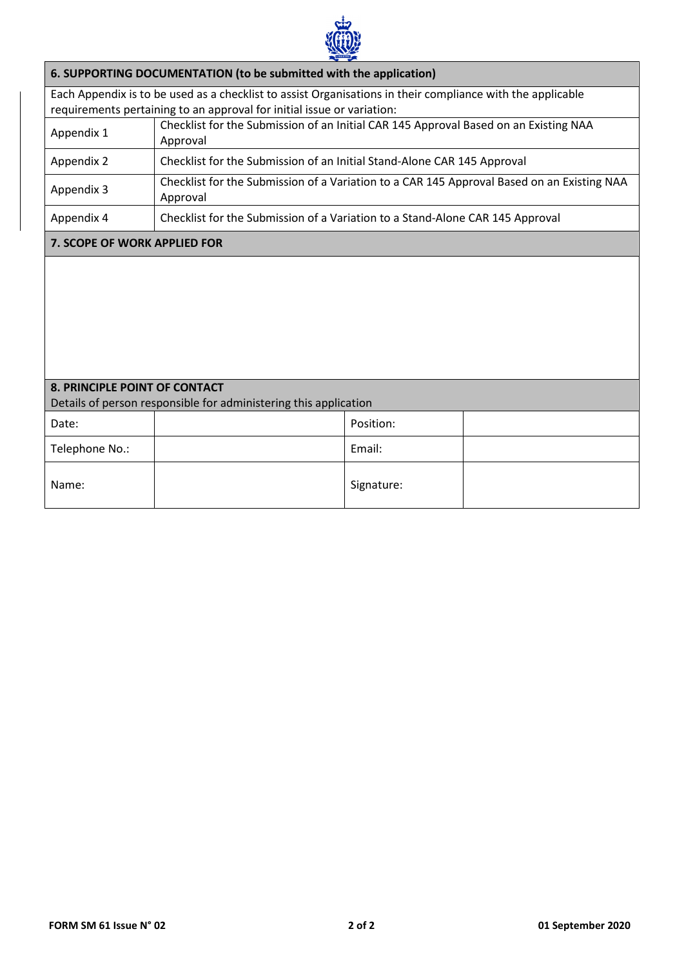

|                                                                                                          | 6. SUPPORTING DOCUMENTATION (to be submitted with the application)                                         |            |  |  |  |
|----------------------------------------------------------------------------------------------------------|------------------------------------------------------------------------------------------------------------|------------|--|--|--|
|                                                                                                          | Each Appendix is to be used as a checklist to assist Organisations in their compliance with the applicable |            |  |  |  |
|                                                                                                          | requirements pertaining to an approval for initial issue or variation:                                     |            |  |  |  |
| Appendix 1                                                                                               | Checklist for the Submission of an Initial CAR 145 Approval Based on an Existing NAA<br>Approval           |            |  |  |  |
| Appendix 2                                                                                               | Checklist for the Submission of an Initial Stand-Alone CAR 145 Approval                                    |            |  |  |  |
| Appendix 3                                                                                               | Checklist for the Submission of a Variation to a CAR 145 Approval Based on an Existing NAA<br>Approval     |            |  |  |  |
| Appendix 4                                                                                               | Checklist for the Submission of a Variation to a Stand-Alone CAR 145 Approval                              |            |  |  |  |
| 7. SCOPE OF WORK APPLIED FOR                                                                             |                                                                                                            |            |  |  |  |
|                                                                                                          |                                                                                                            |            |  |  |  |
| <b>8. PRINCIPLE POINT OF CONTACT</b><br>Details of person responsible for administering this application |                                                                                                            |            |  |  |  |
| Date:                                                                                                    |                                                                                                            | Position:  |  |  |  |
| Telephone No.:                                                                                           |                                                                                                            | Email:     |  |  |  |
| Name:                                                                                                    |                                                                                                            | Signature: |  |  |  |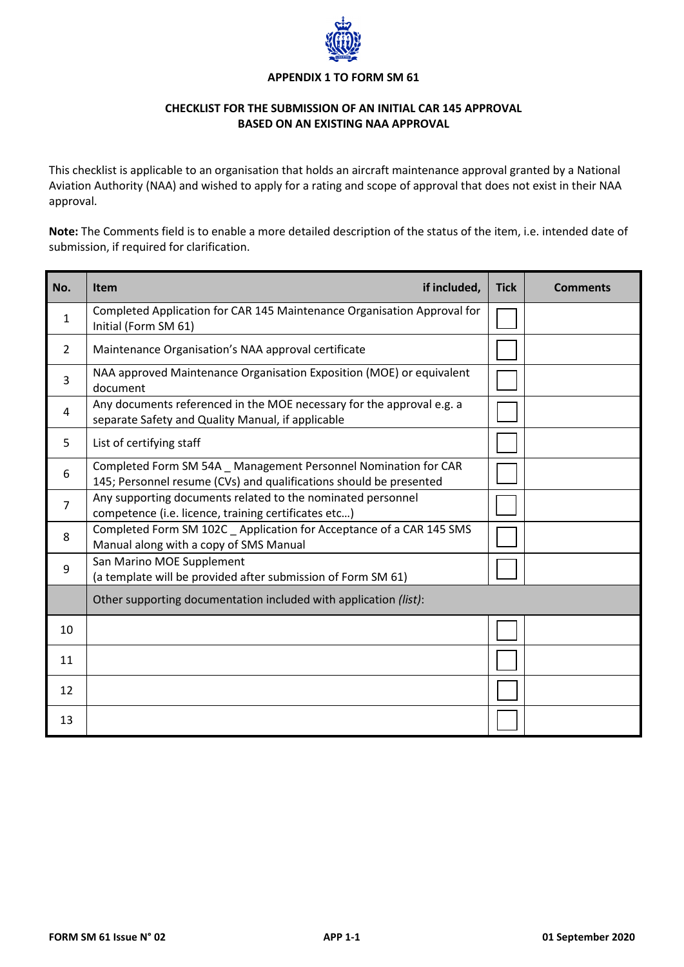

### **APPENDIX 1 TO FORM SM 61**

# **CHECKLIST FOR THE SUBMISSION OF AN INITIAL CAR 145 APPROVAL BASED ON AN EXISTING NAA APPROVAL**

This checklist is applicable to an organisation that holds an aircraft maintenance approval granted by a National Aviation Authority (NAA) and wished to apply for a rating and scope of approval that does not exist in their NAA approval.

**Note:** The Comments field is to enable a more detailed description of the status of the item, i.e. intended date of submission, if required for clarification.

| No.            | if included,<br><b>Item</b>                                                                                                           | <b>Tick</b> | <b>Comments</b> |
|----------------|---------------------------------------------------------------------------------------------------------------------------------------|-------------|-----------------|
| $\mathbf{1}$   | Completed Application for CAR 145 Maintenance Organisation Approval for<br>Initial (Form SM 61)                                       |             |                 |
| 2              | Maintenance Organisation's NAA approval certificate                                                                                   |             |                 |
| 3              | NAA approved Maintenance Organisation Exposition (MOE) or equivalent<br>document                                                      |             |                 |
| 4              | Any documents referenced in the MOE necessary for the approval e.g. a<br>separate Safety and Quality Manual, if applicable            |             |                 |
| 5.             | List of certifying staff                                                                                                              |             |                 |
| 6              | Completed Form SM 54A _ Management Personnel Nomination for CAR<br>145; Personnel resume (CVs) and qualifications should be presented |             |                 |
| $\overline{7}$ | Any supporting documents related to the nominated personnel<br>competence (i.e. licence, training certificates etc)                   |             |                 |
| 8              | Completed Form SM 102C _ Application for Acceptance of a CAR 145 SMS<br>Manual along with a copy of SMS Manual                        |             |                 |
| 9              | San Marino MOE Supplement<br>(a template will be provided after submission of Form SM 61)                                             |             |                 |
|                | Other supporting documentation included with application (list):                                                                      |             |                 |
| 10             |                                                                                                                                       |             |                 |
| 11             |                                                                                                                                       |             |                 |
| 12             |                                                                                                                                       |             |                 |
| 13             |                                                                                                                                       |             |                 |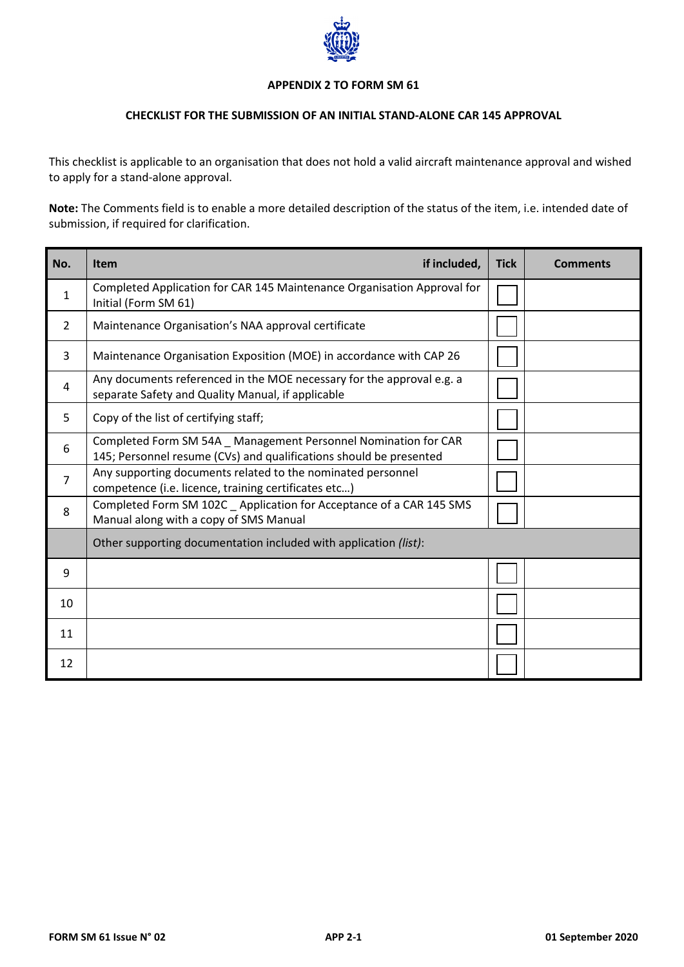

### **APPENDIX 2 TO FORM SM 61**

## **CHECKLIST FOR THE SUBMISSION OF AN INITIAL STAND-ALONE CAR 145 APPROVAL**

This checklist is applicable to an organisation that does not hold a valid aircraft maintenance approval and wished to apply for a stand-alone approval.

**Note:** The Comments field is to enable a more detailed description of the status of the item, i.e. intended date of submission, if required for clarification.

| No.            | if included,<br><b>Item</b>                                                                                                           | <b>Tick</b> | <b>Comments</b> |
|----------------|---------------------------------------------------------------------------------------------------------------------------------------|-------------|-----------------|
| $\mathbf{1}$   | Completed Application for CAR 145 Maintenance Organisation Approval for<br>Initial (Form SM 61)                                       |             |                 |
| 2              | Maintenance Organisation's NAA approval certificate                                                                                   |             |                 |
| 3              | Maintenance Organisation Exposition (MOE) in accordance with CAP 26                                                                   |             |                 |
| 4              | Any documents referenced in the MOE necessary for the approval e.g. a<br>separate Safety and Quality Manual, if applicable            |             |                 |
| 5              | Copy of the list of certifying staff;                                                                                                 |             |                 |
| 6              | Completed Form SM 54A _ Management Personnel Nomination for CAR<br>145; Personnel resume (CVs) and qualifications should be presented |             |                 |
| $\overline{7}$ | Any supporting documents related to the nominated personnel<br>competence (i.e. licence, training certificates etc)                   |             |                 |
| 8              | Completed Form SM 102C _ Application for Acceptance of a CAR 145 SMS<br>Manual along with a copy of SMS Manual                        |             |                 |
|                | Other supporting documentation included with application (list):                                                                      |             |                 |
| 9              |                                                                                                                                       |             |                 |
| 10             |                                                                                                                                       |             |                 |
| 11             |                                                                                                                                       |             |                 |
| 12             |                                                                                                                                       |             |                 |

l,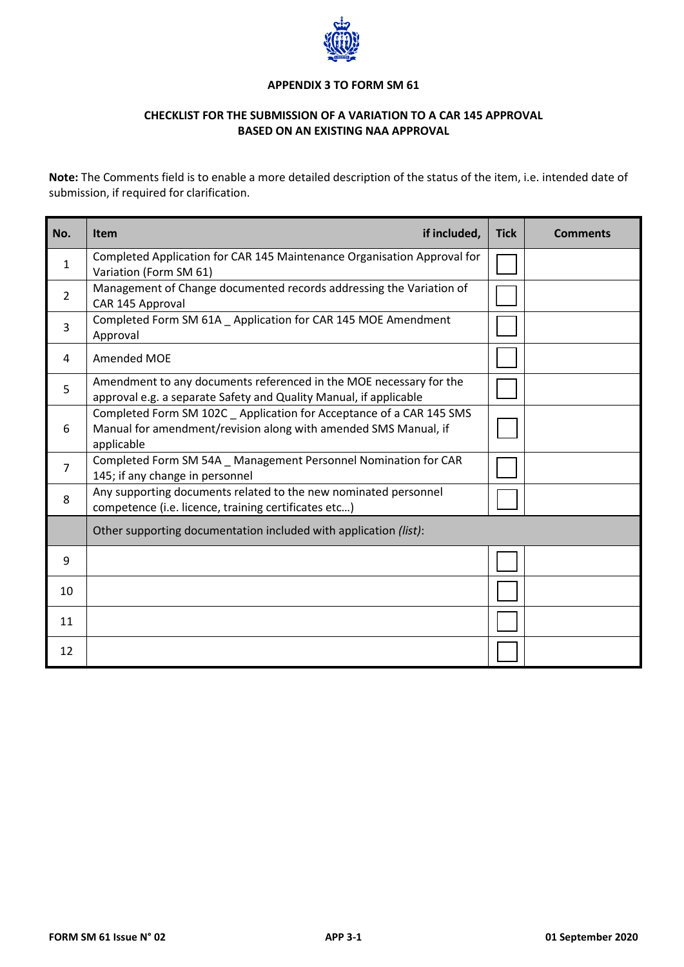

#### **APPENDIX 3 TO FORM SM 61**

# **CHECKLIST FOR THE SUBMISSION OF A VARIATION TO A CAR 145 APPROVAL BASED ON AN EXISTING NAA APPROVAL**

**Note:** The Comments field is to enable a more detailed description of the status of the item, i.e. intended date of submission, if required for clarification.

| No.            | if included,<br><b>Item</b>                                                                                                                           | <b>Tick</b> | <b>Comments</b> |
|----------------|-------------------------------------------------------------------------------------------------------------------------------------------------------|-------------|-----------------|
| $\mathbf{1}$   | Completed Application for CAR 145 Maintenance Organisation Approval for<br>Variation (Form SM 61)                                                     |             |                 |
| $\mathfrak{D}$ | Management of Change documented records addressing the Variation of<br>CAR 145 Approval                                                               |             |                 |
| 3              | Completed Form SM 61A Application for CAR 145 MOE Amendment<br>Approval                                                                               |             |                 |
| 4              | Amended MOE                                                                                                                                           |             |                 |
| 5              | Amendment to any documents referenced in the MOE necessary for the<br>approval e.g. a separate Safety and Quality Manual, if applicable               |             |                 |
| 6              | Completed Form SM 102C _ Application for Acceptance of a CAR 145 SMS<br>Manual for amendment/revision along with amended SMS Manual, if<br>applicable |             |                 |
| $\overline{7}$ | Completed Form SM 54A _ Management Personnel Nomination for CAR<br>145; if any change in personnel                                                    |             |                 |
| 8              | Any supporting documents related to the new nominated personnel<br>competence (i.e. licence, training certificates etc)                               |             |                 |
|                | Other supporting documentation included with application (list):                                                                                      |             |                 |
| 9              |                                                                                                                                                       |             |                 |
| 10             |                                                                                                                                                       |             |                 |
| 11             |                                                                                                                                                       |             |                 |
| 12             |                                                                                                                                                       |             |                 |